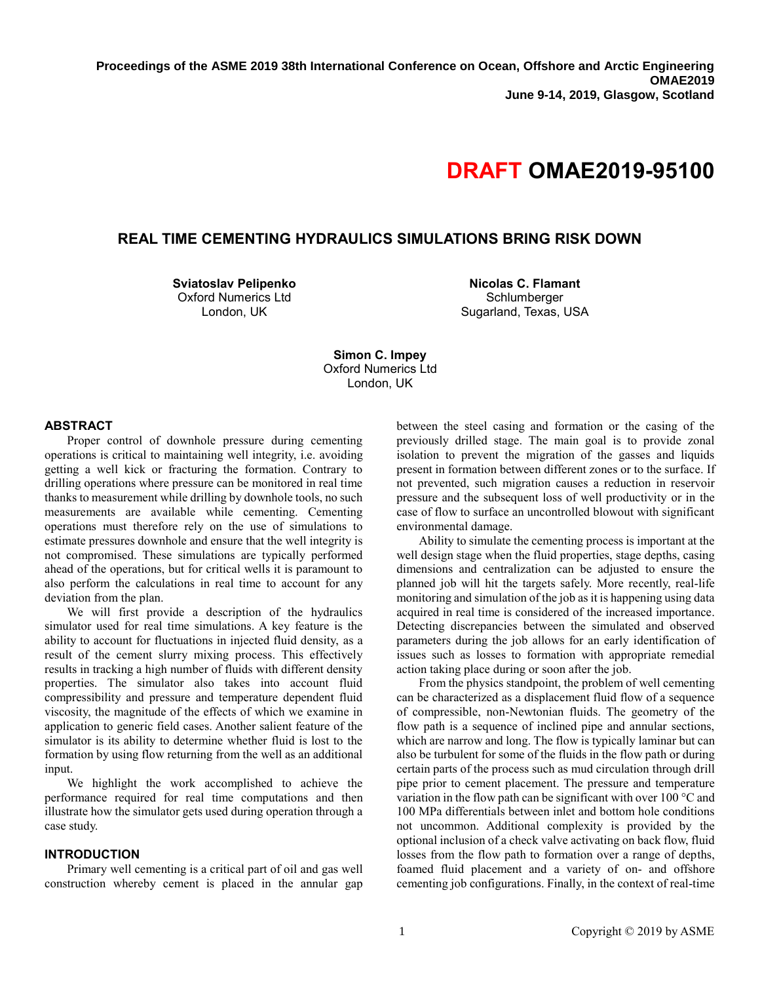# **DRAFT OMAE2019-95100**

# **REAL TIME CEMENTING HYDRAULICS SIMULATIONS BRING RISK DOWN**

**Sviatoslav Pelipenko** Oxford Numerics Ltd London, UK

**Nicolas C. Flamant Schlumberger** Sugarland, Texas, USA

**Simon C. Impey** Oxford Numerics Ltd London, UK

## **ABSTRACT**

Proper control of downhole pressure during cementing operations is critical to maintaining well integrity, i.e. avoiding getting a well kick or fracturing the formation. Contrary to drilling operations where pressure can be monitored in real time thanks to measurement while drilling by downhole tools, no such measurements are available while cementing. Cementing operations must therefore rely on the use of simulations to estimate pressures downhole and ensure that the well integrity is not compromised. These simulations are typically performed ahead of the operations, but for critical wells it is paramount to also perform the calculations in real time to account for any deviation from the plan.

We will first provide a description of the hydraulics simulator used for real time simulations. A key feature is the ability to account for fluctuations in injected fluid density, as a result of the cement slurry mixing process. This effectively results in tracking a high number of fluids with different density properties. The simulator also takes into account fluid compressibility and pressure and temperature dependent fluid viscosity, the magnitude of the effects of which we examine in application to generic field cases. Another salient feature of the simulator is its ability to determine whether fluid is lost to the formation by using flow returning from the well as an additional input.

We highlight the work accomplished to achieve the performance required for real time computations and then illustrate how the simulator gets used during operation through a case study.

#### **INTRODUCTION**

Primary well cementing is a critical part of oil and gas well construction whereby cement is placed in the annular gap

between the steel casing and formation or the casing of the previously drilled stage. The main goal is to provide zonal isolation to prevent the migration of the gasses and liquids present in formation between different zones or to the surface. If not prevented, such migration causes a reduction in reservoir pressure and the subsequent loss of well productivity or in the case of flow to surface an uncontrolled blowout with significant environmental damage.

Ability to simulate the cementing process is important at the well design stage when the fluid properties, stage depths, casing dimensions and centralization can be adjusted to ensure the planned job will hit the targets safely. More recently, real-life monitoring and simulation of the job as it is happening using data acquired in real time is considered of the increased importance. Detecting discrepancies between the simulated and observed parameters during the job allows for an early identification of issues such as losses to formation with appropriate remedial action taking place during or soon after the job.

From the physics standpoint, the problem of well cementing can be characterized as a displacement fluid flow of a sequence of compressible, non-Newtonian fluids. The geometry of the flow path is a sequence of inclined pipe and annular sections, which are narrow and long. The flow is typically laminar but can also be turbulent for some of the fluids in the flow path or during certain parts of the process such as mud circulation through drill pipe prior to cement placement. The pressure and temperature variation in the flow path can be significant with over 100 °C and 100 MPa differentials between inlet and bottom hole conditions not uncommon. Additional complexity is provided by the optional inclusion of a check valve activating on back flow, fluid losses from the flow path to formation over a range of depths, foamed fluid placement and a variety of on- and offshore cementing job configurations. Finally, in the context of real-time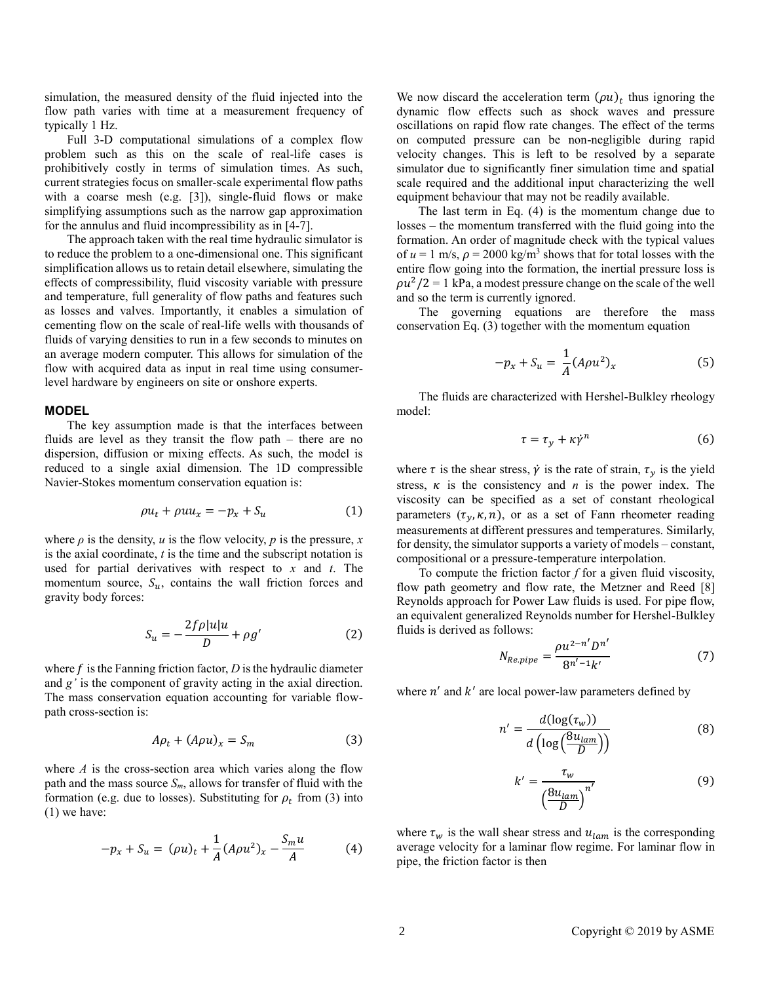simulation, the measured density of the fluid injected into the flow path varies with time at a measurement frequency of typically 1 Hz.

Full 3-D computational simulations of a complex flow problem such as this on the scale of real-life cases is prohibitively costly in terms of simulation times. As such, current strategies focus on smaller-scale experimental flow paths with a coarse mesh (e.g. [3]), single-fluid flows or make simplifying assumptions such as the narrow gap approximation for the annulus and fluid incompressibility as in [4-7].

The approach taken with the real time hydraulic simulator is to reduce the problem to a one-dimensional one. This significant simplification allows us to retain detail elsewhere, simulating the effects of compressibility, fluid viscosity variable with pressure and temperature, full generality of flow paths and features such as losses and valves. Importantly, it enables a simulation of cementing flow on the scale of real-life wells with thousands of fluids of varying densities to run in a few seconds to minutes on an average modern computer. This allows for simulation of the flow with acquired data as input in real time using consumerlevel hardware by engineers on site or onshore experts.

#### **MODEL**

The key assumption made is that the interfaces between fluids are level as they transit the flow path – there are no dispersion, diffusion or mixing effects. As such, the model is reduced to a single axial dimension. The 1D compressible Navier-Stokes momentum conservation equation is:

$$
\rho u_t + \rho u u_x = -p_x + S_u \tag{1}
$$

where  $\rho$  is the density,  $u$  is the flow velocity,  $p$  is the pressure,  $x$ is the axial coordinate, *t* is the time and the subscript notation is used for partial derivatives with respect to *x* and *t*. The momentum source,  $S_u$ , contains the wall friction forces and gravity body forces:

$$
S_u = -\frac{2f\rho|u|u}{D} + \rho g'
$$
 (2)

where  $f$  is the Fanning friction factor,  $D$  is the hydraulic diameter and *g'* is the component of gravity acting in the axial direction. The mass conservation equation accounting for variable flowpath cross-section is:

$$
A\rho_t + (A\rho u)_x = S_m \tag{3}
$$

where *A* is the cross-section area which varies along the flow path and the mass source *Sm*, allows for transfer of fluid with the formation (e.g. due to losses). Substituting for  $\rho_t$  from (3) into (1) we have:

$$
-p_x + S_u = (\rho u)_t + \frac{1}{A} (A \rho u^2)_x - \frac{S_m u}{A} \tag{4}
$$

We now discard the acceleration term  $(\rho u)_t$  thus ignoring the dynamic flow effects such as shock waves and pressure oscillations on rapid flow rate changes. The effect of the terms on computed pressure can be non-negligible during rapid velocity changes. This is left to be resolved by a separate simulator due to significantly finer simulation time and spatial scale required and the additional input characterizing the well equipment behaviour that may not be readily available.

 The last term in Eq. (4) is the momentum change due to losses – the momentum transferred with the fluid going into the formation. An order of magnitude check with the typical values of  $u = 1$  m/s,  $\rho = 2000$  kg/m<sup>3</sup> shows that for total losses with the entire flow going into the formation, the inertial pressure loss is  $\rho u^2/2 = 1$  kPa, a modest pressure change on the scale of the well and so the term is currently ignored.

The governing equations are therefore the mass conservation Eq. (3) together with the momentum equation

$$
-p_x + S_u = \frac{1}{A} (A\rho u^2)_x
$$
 (5)

The fluids are characterized with Hershel-Bulkley rheology model:

$$
\tau = \tau_y + \kappa \dot{\gamma}^n \tag{6}
$$

where  $\tau$  is the shear stress,  $\dot{\gamma}$  is the rate of strain,  $\tau_{\gamma}$  is the yield stress,  $\kappa$  is the consistency and  $n$  is the power index. The viscosity can be specified as a set of constant rheological parameters  $(\tau_y, \kappa, n)$ , or as a set of Fann rheometer reading measurements at different pressures and temperatures. Similarly, for density, the simulator supports a variety of models – constant, compositional or a pressure-temperature interpolation.

To compute the friction factor *f* for a given fluid viscosity, flow path geometry and flow rate, the Metzner and Reed [8] Reynolds approach for Power Law fluids is used. For pipe flow, an equivalent generalized Reynolds number for Hershel-Bulkley fluids is derived as follows:

$$
N_{Re,pipe} = \frac{\rho u^{2-n'} D^{n'}}{8^{n'-1} k'}
$$
 (7)

where  $n'$  and  $k'$  are local power-law parameters defined by

$$
n' = \frac{d(\log(\tau_w))}{d(\log(\frac{8u_{lam}}{D}))}
$$
(8)

$$
k' = \frac{\tau_w}{\left(\frac{8u_{lam}}{D}\right)^{n'}}
$$
(9)

where  $\tau_w$  is the wall shear stress and  $u_{lam}$  is the corresponding average velocity for a laminar flow regime. For laminar flow in pipe, the friction factor is then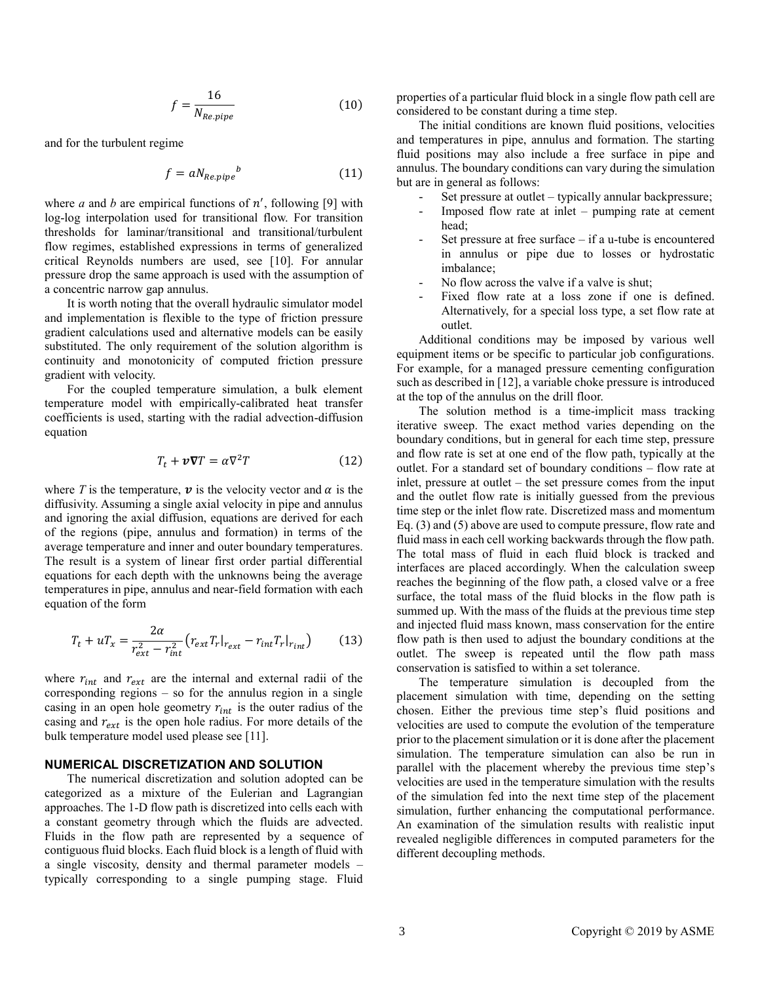$$
f = \frac{16}{N_{Re,pipe}}\tag{10}
$$

and for the turbulent regime

$$
f = a N_{Re, pipe}{}^b \tag{11}
$$

where  $a$  and  $b$  are empirical functions of  $n'$ , following [9] with log-log interpolation used for transitional flow. For transition thresholds for laminar/transitional and transitional/turbulent flow regimes, established expressions in terms of generalized critical Reynolds numbers are used, see [10]. For annular pressure drop the same approach is used with the assumption of a concentric narrow gap annulus.

It is worth noting that the overall hydraulic simulator model and implementation is flexible to the type of friction pressure gradient calculations used and alternative models can be easily substituted. The only requirement of the solution algorithm is continuity and monotonicity of computed friction pressure gradient with velocity.

For the coupled temperature simulation, a bulk element temperature model with empirically-calibrated heat transfer coefficients is used, starting with the radial advection-diffusion equation

$$
T_t + \nu \nabla T = \alpha \nabla^2 T \tag{12}
$$

where *T* is the temperature,  $\boldsymbol{v}$  is the velocity vector and  $\alpha$  is the diffusivity. Assuming a single axial velocity in pipe and annulus and ignoring the axial diffusion, equations are derived for each of the regions (pipe, annulus and formation) in terms of the average temperature and inner and outer boundary temperatures. The result is a system of linear first order partial differential equations for each depth with the unknowns being the average temperatures in pipe, annulus and near-field formation with each equation of the form

$$
T_t + uT_x = \frac{2\alpha}{r_{ext}^2 - r_{int}^2} \left( r_{ext} T_r \vert_{r_{ext}} - r_{int} T_r \vert_{r_{int}} \right) \tag{13}
$$

where  $r_{int}$  and  $r_{ext}$  are the internal and external radii of the corresponding regions – so for the annulus region in a single casing in an open hole geometry  $r_{int}$  is the outer radius of the casing and  $r_{ext}$  is the open hole radius. For more details of the bulk temperature model used please see [11].

## **NUMERICAL DISCRETIZATION AND SOLUTION**

The numerical discretization and solution adopted can be categorized as a mixture of the Eulerian and Lagrangian approaches. The 1-D flow path is discretized into cells each with a constant geometry through which the fluids are advected. Fluids in the flow path are represented by a sequence of contiguous fluid blocks. Each fluid block is a length of fluid with a single viscosity, density and thermal parameter models – typically corresponding to a single pumping stage. Fluid properties of a particular fluid block in a single flow path cell are considered to be constant during a time step.

The initial conditions are known fluid positions, velocities and temperatures in pipe, annulus and formation. The starting fluid positions may also include a free surface in pipe and annulus. The boundary conditions can vary during the simulation but are in general as follows:

- Set pressure at outlet typically annular backpressure;
- Imposed flow rate at inlet  $-$  pumping rate at cement head;
- Set pressure at free surface  $-$  if a u-tube is encountered in annulus or pipe due to losses or hydrostatic imbalance;
- No flow across the valve if a valve is shut;
- Fixed flow rate at a loss zone if one is defined. Alternatively, for a special loss type, a set flow rate at outlet.

Additional conditions may be imposed by various well equipment items or be specific to particular job configurations. For example, for a managed pressure cementing configuration such as described in [12], a variable choke pressure is introduced at the top of the annulus on the drill floor.

The solution method is a time-implicit mass tracking iterative sweep. The exact method varies depending on the boundary conditions, but in general for each time step, pressure and flow rate is set at one end of the flow path, typically at the outlet. For a standard set of boundary conditions – flow rate at inlet, pressure at outlet – the set pressure comes from the input and the outlet flow rate is initially guessed from the previous time step or the inlet flow rate. Discretized mass and momentum Eq. (3) and (5) above are used to compute pressure, flow rate and fluid mass in each cell working backwards through the flow path. The total mass of fluid in each fluid block is tracked and interfaces are placed accordingly. When the calculation sweep reaches the beginning of the flow path, a closed valve or a free surface, the total mass of the fluid blocks in the flow path is summed up. With the mass of the fluids at the previous time step and injected fluid mass known, mass conservation for the entire flow path is then used to adjust the boundary conditions at the outlet. The sweep is repeated until the flow path mass conservation is satisfied to within a set tolerance.

The temperature simulation is decoupled from the placement simulation with time, depending on the setting chosen. Either the previous time step's fluid positions and velocities are used to compute the evolution of the temperature prior to the placement simulation or it is done after the placement simulation. The temperature simulation can also be run in parallel with the placement whereby the previous time step's velocities are used in the temperature simulation with the results of the simulation fed into the next time step of the placement simulation, further enhancing the computational performance. An examination of the simulation results with realistic input revealed negligible differences in computed parameters for the different decoupling methods.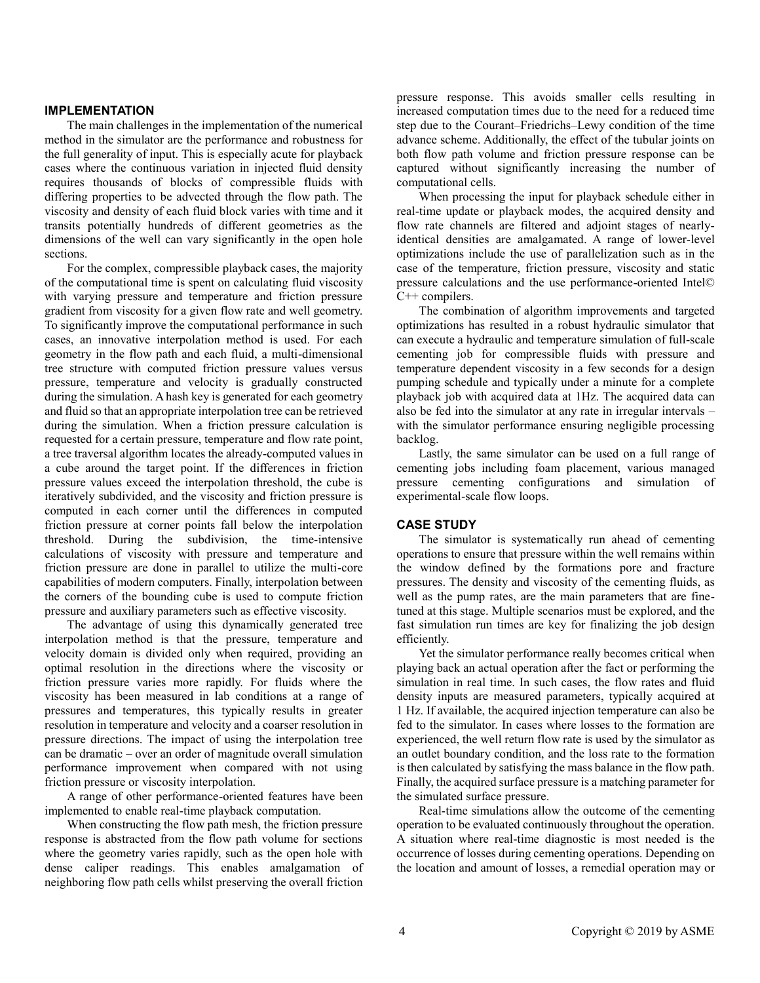## **IMPLEMENTATION**

The main challenges in the implementation of the numerical method in the simulator are the performance and robustness for the full generality of input. This is especially acute for playback cases where the continuous variation in injected fluid density requires thousands of blocks of compressible fluids with differing properties to be advected through the flow path. The viscosity and density of each fluid block varies with time and it transits potentially hundreds of different geometries as the dimensions of the well can vary significantly in the open hole sections.

For the complex, compressible playback cases, the majority of the computational time is spent on calculating fluid viscosity with varying pressure and temperature and friction pressure gradient from viscosity for a given flow rate and well geometry. To significantly improve the computational performance in such cases, an innovative interpolation method is used. For each geometry in the flow path and each fluid, a multi-dimensional tree structure with computed friction pressure values versus pressure, temperature and velocity is gradually constructed during the simulation. A hash key is generated for each geometry and fluid so that an appropriate interpolation tree can be retrieved during the simulation. When a friction pressure calculation is requested for a certain pressure, temperature and flow rate point, a tree traversal algorithm locates the already-computed values in a cube around the target point. If the differences in friction pressure values exceed the interpolation threshold, the cube is iteratively subdivided, and the viscosity and friction pressure is computed in each corner until the differences in computed friction pressure at corner points fall below the interpolation threshold. During the subdivision, the time-intensive calculations of viscosity with pressure and temperature and friction pressure are done in parallel to utilize the multi-core capabilities of modern computers. Finally, interpolation between the corners of the bounding cube is used to compute friction pressure and auxiliary parameters such as effective viscosity.

The advantage of using this dynamically generated tree interpolation method is that the pressure, temperature and velocity domain is divided only when required, providing an optimal resolution in the directions where the viscosity or friction pressure varies more rapidly. For fluids where the viscosity has been measured in lab conditions at a range of pressures and temperatures, this typically results in greater resolution in temperature and velocity and a coarser resolution in pressure directions. The impact of using the interpolation tree can be dramatic – over an order of magnitude overall simulation performance improvement when compared with not using friction pressure or viscosity interpolation.

A range of other performance-oriented features have been implemented to enable real-time playback computation.

When constructing the flow path mesh, the friction pressure response is abstracted from the flow path volume for sections where the geometry varies rapidly, such as the open hole with dense caliper readings. This enables amalgamation of neighboring flow path cells whilst preserving the overall friction pressure response. This avoids smaller cells resulting in increased computation times due to the need for a reduced time step due to the Courant–Friedrichs–Lewy condition of the time advance scheme. Additionally, the effect of the tubular joints on both flow path volume and friction pressure response can be captured without significantly increasing the number of computational cells.

When processing the input for playback schedule either in real-time update or playback modes, the acquired density and flow rate channels are filtered and adjoint stages of nearlyidentical densities are amalgamated. A range of lower-level optimizations include the use of parallelization such as in the case of the temperature, friction pressure, viscosity and static pressure calculations and the use performance-oriented Intel© C++ compilers.

The combination of algorithm improvements and targeted optimizations has resulted in a robust hydraulic simulator that can execute a hydraulic and temperature simulation of full-scale cementing job for compressible fluids with pressure and temperature dependent viscosity in a few seconds for a design pumping schedule and typically under a minute for a complete playback job with acquired data at 1Hz. The acquired data can also be fed into the simulator at any rate in irregular intervals – with the simulator performance ensuring negligible processing backlog.

Lastly, the same simulator can be used on a full range of cementing jobs including foam placement, various managed pressure cementing configurations and simulation of experimental-scale flow loops.

# **CASE STUDY**

The simulator is systematically run ahead of cementing operations to ensure that pressure within the well remains within the window defined by the formations pore and fracture pressures. The density and viscosity of the cementing fluids, as well as the pump rates, are the main parameters that are finetuned at this stage. Multiple scenarios must be explored, and the fast simulation run times are key for finalizing the job design efficiently.

Yet the simulator performance really becomes critical when playing back an actual operation after the fact or performing the simulation in real time. In such cases, the flow rates and fluid density inputs are measured parameters, typically acquired at 1 Hz. If available, the acquired injection temperature can also be fed to the simulator. In cases where losses to the formation are experienced, the well return flow rate is used by the simulator as an outlet boundary condition, and the loss rate to the formation is then calculated by satisfying the mass balance in the flow path. Finally, the acquired surface pressure is a matching parameter for the simulated surface pressure.

Real-time simulations allow the outcome of the cementing operation to be evaluated continuously throughout the operation. A situation where real-time diagnostic is most needed is the occurrence of losses during cementing operations. Depending on the location and amount of losses, a remedial operation may or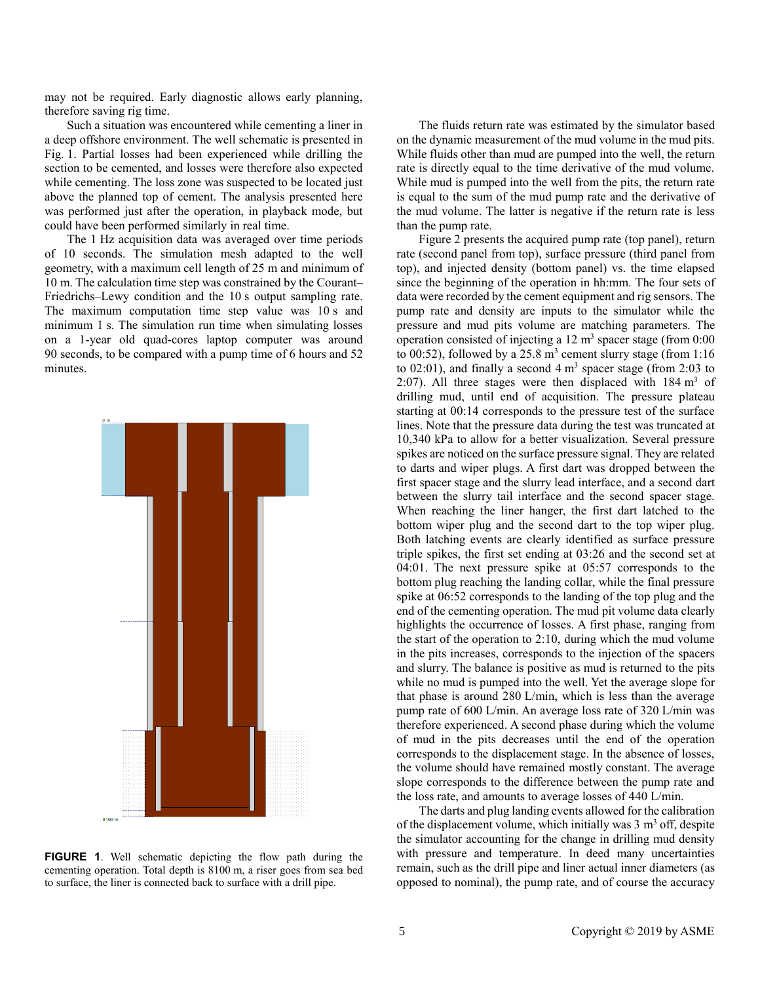may not be required. Early diagnostic allows early planning, therefore saving rig time.

Such a situation was encountered while cementing a liner in a deep offshore environment. The well schematic is presented in Fig. 1. Partial losses had been experienced while drilling the section to be cemented, and losses were therefore also expected while cementing. The loss zone was suspected to be located just above the planned top of cement. The analysis presented here was performed just after the operation, in playback mode, but could have been performed similarly in real time.

The 1 Hz acquisition data was averaged over time periods of 10 seconds. The simulation mesh adapted to the well geometry, with a maximum cell length of 25 m and minimum of 10 m. The calculation time step was constrained by the Courant– Friedrichs–Lewy condition and the 10 s output sampling rate. The maximum computation time step value was 10 s and minimum 1 s. The simulation run time when simulating losses on a 1-year old quad-cores laptop computer was around 90 seconds, to be compared with a pump time of 6 hours and 52 minutes.



**FIGURE 1**. Well schematic depicting the flow path during the cementing operation. Total depth is 8100 m, a riser goes from sea bed to surface, the liner is connected back to surface with a drill pipe.

The fluids return rate was estimated by the simulator based on the dynamic measurement of the mud volume in the mud pits. While fluids other than mud are pumped into the well, the return rate is directly equal to the time derivative of the mud volume. While mud is pumped into the well from the pits, the return rate is equal to the sum of the mud pump rate and the derivative of the mud volume. The latter is negative if the return rate is less than the pump rate.

Figure 2 presents the acquired pump rate (top panel), return rate (second panel from top), surface pressure (third panel from top), and injected density (bottom panel) vs. the time elapsed since the beginning of the operation in hh:mm. The four sets of data were recorded by the cement equipment and rig sensors. The pump rate and density are inputs to the simulator while the pressure and mud pits volume are matching parameters. The operation consisted of injecting a  $12 \text{ m}^3$  spacer stage (from  $0:00$ to  $00:52$ ), followed by a 25.8 m<sup>3</sup> cement slurry stage (from  $1:16$ to 02:01), and finally a second  $4 \text{ m}^3$  spacer stage (from 2:03 to 2:07). All three stages were then displaced with  $184 \text{ m}^3$  of drilling mud, until end of acquisition. The pressure plateau starting at 00:14 corresponds to the pressure test of the surface lines. Note that the pressure data during the test was truncated at 10,340 kPa to allow for a better visualization. Several pressure spikes are noticed on the surface pressure signal. They are related to darts and wiper plugs. A first dart was dropped between the first spacer stage and the slurry lead interface, and a second dart between the slurry tail interface and the second spacer stage. When reaching the liner hanger, the first dart latched to the bottom wiper plug and the second dart to the top wiper plug. Both latching events are clearly identified as surface pressure triple spikes, the first set ending at 03:26 and the second set at 04:01. The next pressure spike at 05:57 corresponds to the bottom plug reaching the landing collar, while the final pressure spike at 06:52 corresponds to the landing of the top plug and the end of the cementing operation. The mud pit volume data clearly highlights the occurrence of losses. A first phase, ranging from the start of the operation to 2:10, during which the mud volume in the pits increases, corresponds to the injection of the spacers and slurry. The balance is positive as mud is returned to the pits while no mud is pumped into the well. Yet the average slope for that phase is around 280 L/min, which is less than the average pump rate of 600 L/min. An average loss rate of 320 L/min was therefore experienced. A second phase during which the volume of mud in the pits decreases until the end of the operation corresponds to the displacement stage. In the absence of losses, the volume should have remained mostly constant. The average slope corresponds to the difference between the pump rate and the loss rate, and amounts to average losses of 440 L/min.

The darts and plug landing events allowed for the calibration of the displacement volume, which initially was  $3 \text{ m}^3$  off, despite the simulator accounting for the change in drilling mud density with pressure and temperature. In deed many uncertainties remain, such as the drill pipe and liner actual inner diameters (as opposed to nominal), the pump rate, and of course the accuracy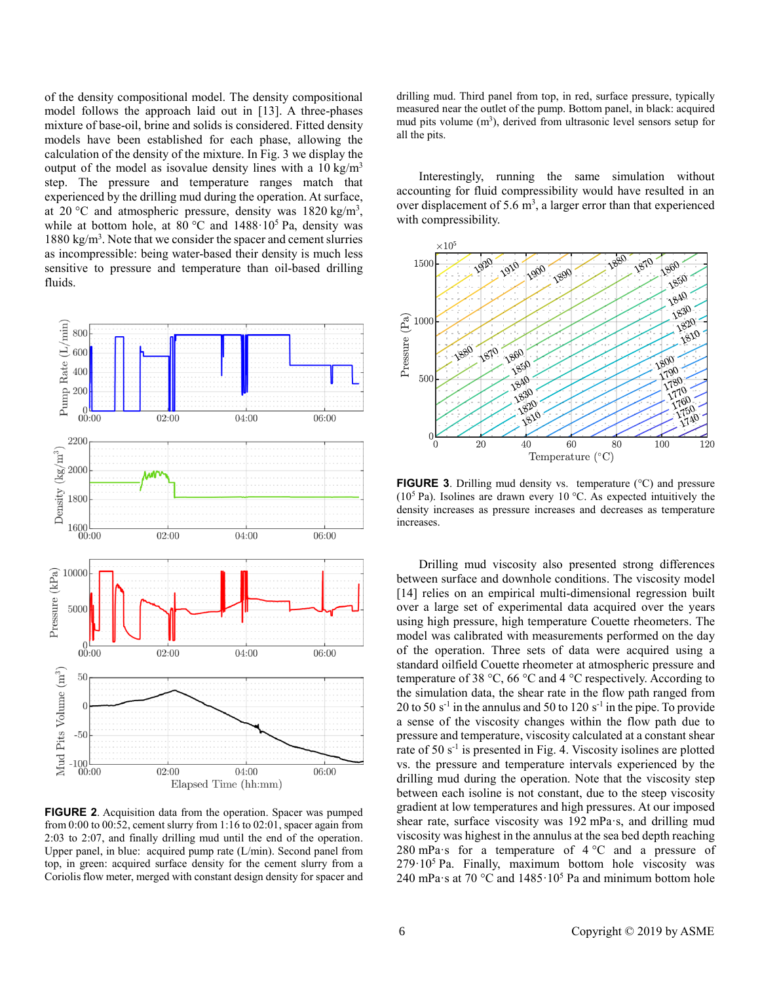of the density compositional model. The density compositional model follows the approach laid out in [13]. A three-phases mixture of base-oil, brine and solids is considered. Fitted density models have been established for each phase, allowing the calculation of the density of the mixture. In Fig. 3 we display the output of the model as isovalue density lines with a  $10 \text{ kg/m}^3$ step. The pressure and temperature ranges match that experienced by the drilling mud during the operation. At surface, at 20 °C and atmospheric pressure, density was  $1820 \text{ kg/m}^3$ , while at bottom hole, at  $80^{\circ}$ C and  $1488 \cdot 10^5$  Pa, density was  $1880 \text{ kg/m}^3$ . Note that we consider the spacer and cement slurries as incompressible: being water-based their density is much less sensitive to pressure and temperature than oil-based drilling fluids.



**FIGURE 2**. Acquisition data from the operation. Spacer was pumped from 0:00 to 00:52, cement slurry from 1:16 to 02:01, spacer again from 2:03 to 2:07, and finally drilling mud until the end of the operation. Upper panel, in blue: acquired pump rate (L/min). Second panel from top, in green: acquired surface density for the cement slurry from a Coriolis flow meter, merged with constant design density for spacer and

drilling mud. Third panel from top, in red, surface pressure, typically measured near the outlet of the pump. Bottom panel, in black: acquired mud pits volume  $(m<sup>3</sup>)$ , derived from ultrasonic level sensors setup for all the pits.

Interestingly, running the same simulation without accounting for fluid compressibility would have resulted in an over displacement of 5.6  $m<sup>3</sup>$ , a larger error than that experienced with compressibility.



**FIGURE 3**. Drilling mud density vs. temperature (°C) and pressure ( $10<sup>5</sup>$  Pa). Isolines are drawn every 10 °C. As expected intuitively the density increases as pressure increases and decreases as temperature increases.

Drilling mud viscosity also presented strong differences between surface and downhole conditions. The viscosity model [14] relies on an empirical multi-dimensional regression built over a large set of experimental data acquired over the years using high pressure, high temperature Couette rheometers. The model was calibrated with measurements performed on the day of the operation. Three sets of data were acquired using a standard oilfield Couette rheometer at atmospheric pressure and temperature of 38  $\degree$ C, 66  $\degree$ C and 4  $\degree$ C respectively. According to the simulation data, the shear rate in the flow path ranged from 20 to 50  $s^{-1}$  in the annulus and 50 to 120  $s^{-1}$  in the pipe. To provide a sense of the viscosity changes within the flow path due to pressure and temperature, viscosity calculated at a constant shear rate of 50 s<sup>-1</sup> is presented in Fig. 4. Viscosity isolines are plotted vs. the pressure and temperature intervals experienced by the drilling mud during the operation. Note that the viscosity step between each isoline is not constant, due to the steep viscosity gradient at low temperatures and high pressures. At our imposed shear rate, surface viscosity was 192 mPa·s, and drilling mud viscosity was highest in the annulus at the sea bed depth reaching 280 mPa·s for a temperature of  $4^{\circ}$ C and a pressure of  $279 \cdot 10^5$  Pa. Finally, maximum bottom hole viscosity was 240 mPa·s at 70 °C and  $1485 \cdot 10^5$  Pa and minimum bottom hole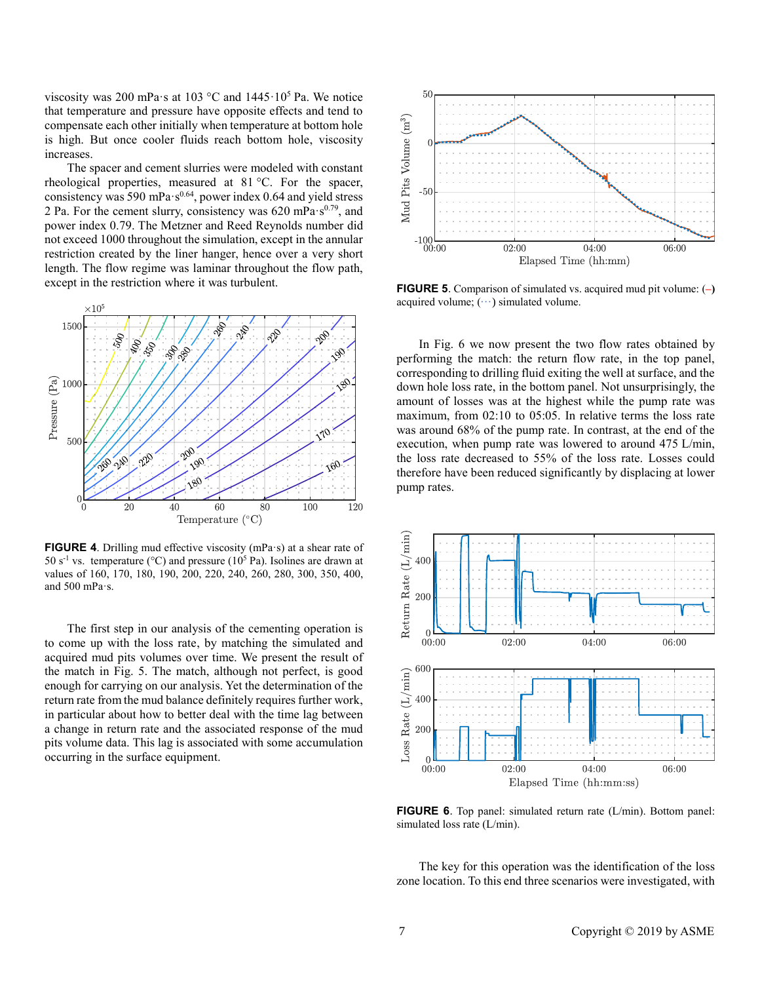viscosity was 200 mPa·s at 103 °C and 1445·10<sup>5</sup> Pa. We notice that temperature and pressure have opposite effects and tend to compensate each other initially when temperature at bottom hole is high. But once cooler fluids reach bottom hole, viscosity increases.

The spacer and cement slurries were modeled with constant rheological properties, measured at 81 °C. For the spacer, consistency was 590 mPa $\cdot$ s<sup>0.64</sup>, power index 0.64 and yield stress 2 Pa. For the cement slurry, consistency was 620 mPa·s<sup>0.79</sup>, and power index 0.79. The Metzner and Reed Reynolds number did not exceed 1000 throughout the simulation, except in the annular restriction created by the liner hanger, hence over a very short length. The flow regime was laminar throughout the flow path, except in the restriction where it was turbulent.



**FIGURE 4**. Drilling mud effective viscosity (mPa·s) at a shear rate of 50 s<sup>-1</sup> vs. temperature (°C) and pressure ( $10<sup>5</sup>$  Pa). Isolines are drawn at values of 160, 170, 180, 190, 200, 220, 240, 260, 280, 300, 350, 400, and 500 mPa·s.

The first step in our analysis of the cementing operation is to come up with the loss rate, by matching the simulated and acquired mud pits volumes over time. We present the result of the match in Fig. 5. The match, although not perfect, is good enough for carrying on our analysis. Yet the determination of the return rate from the mud balance definitely requires further work, in particular about how to better deal with the time lag between a change in return rate and the associated response of the mud pits volume data. This lag is associated with some accumulation occurring in the surface equipment.



**FIGURE 5**. Comparison of simulated vs. acquired mud pit volume: (**–)** acquired volume;  $(\cdots)$  simulated volume.

In Fig. 6 we now present the two flow rates obtained by performing the match: the return flow rate, in the top panel, corresponding to drilling fluid exiting the well at surface, and the down hole loss rate, in the bottom panel. Not unsurprisingly, the amount of losses was at the highest while the pump rate was maximum, from 02:10 to 05:05. In relative terms the loss rate was around 68% of the pump rate. In contrast, at the end of the execution, when pump rate was lowered to around 475 L/min, the loss rate decreased to 55% of the loss rate. Losses could therefore have been reduced significantly by displacing at lower pump rates.



**FIGURE 6**. Top panel: simulated return rate (L/min). Bottom panel: simulated loss rate (L/min).

The key for this operation was the identification of the loss zone location. To this end three scenarios were investigated, with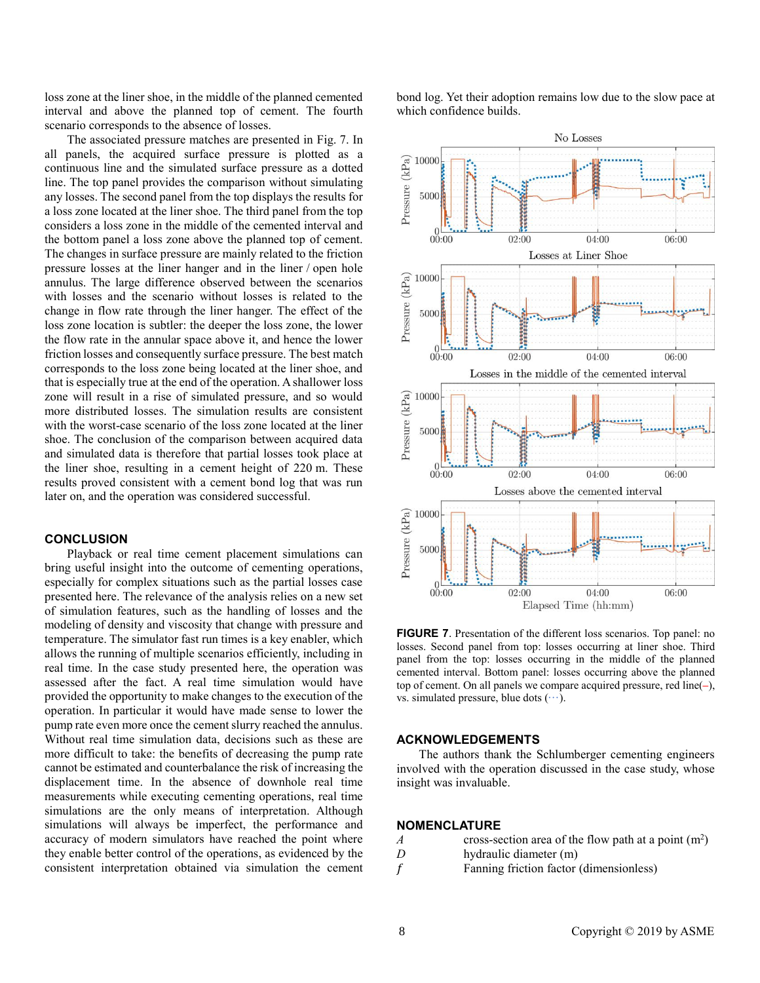loss zone at the liner shoe, in the middle of the planned cemented interval and above the planned top of cement. The fourth scenario corresponds to the absence of losses.

The associated pressure matches are presented in Fig. 7. In all panels, the acquired surface pressure is plotted as a continuous line and the simulated surface pressure as a dotted line. The top panel provides the comparison without simulating any losses. The second panel from the top displays the results for a loss zone located at the liner shoe. The third panel from the top considers a loss zone in the middle of the cemented interval and the bottom panel a loss zone above the planned top of cement. The changes in surface pressure are mainly related to the friction pressure losses at the liner hanger and in the liner / open hole annulus. The large difference observed between the scenarios with losses and the scenario without losses is related to the change in flow rate through the liner hanger. The effect of the loss zone location is subtler: the deeper the loss zone, the lower the flow rate in the annular space above it, and hence the lower friction losses and consequently surface pressure. The best match corresponds to the loss zone being located at the liner shoe, and that is especially true at the end of the operation. A shallower loss zone will result in a rise of simulated pressure, and so would more distributed losses. The simulation results are consistent with the worst-case scenario of the loss zone located at the liner shoe. The conclusion of the comparison between acquired data and simulated data is therefore that partial losses took place at the liner shoe, resulting in a cement height of 220 m. These results proved consistent with a cement bond log that was run later on, and the operation was considered successful.

## **CONCLUSION**

Playback or real time cement placement simulations can bring useful insight into the outcome of cementing operations, especially for complex situations such as the partial losses case presented here. The relevance of the analysis relies on a new set of simulation features, such as the handling of losses and the modeling of density and viscosity that change with pressure and temperature. The simulator fast run times is a key enabler, which allows the running of multiple scenarios efficiently, including in real time. In the case study presented here, the operation was assessed after the fact. A real time simulation would have provided the opportunity to make changes to the execution of the operation. In particular it would have made sense to lower the pump rate even more once the cement slurry reached the annulus. Without real time simulation data, decisions such as these are more difficult to take: the benefits of decreasing the pump rate cannot be estimated and counterbalance the risk of increasing the displacement time. In the absence of downhole real time measurements while executing cementing operations, real time simulations are the only means of interpretation. Although simulations will always be imperfect, the performance and accuracy of modern simulators have reached the point where they enable better control of the operations, as evidenced by the consistent interpretation obtained via simulation the cement bond log. Yet their adoption remains low due to the slow pace at which confidence builds.



**FIGURE 7**. Presentation of the different loss scenarios. Top panel: no losses. Second panel from top: losses occurring at liner shoe. Third panel from the top: losses occurring in the middle of the planned cemented interval. Bottom panel: losses occurring above the planned top of cement. On all panels we compare acquired pressure, red line(**–**), vs. simulated pressure, blue dots  $(\cdots)$ .

### **ACKNOWLEDGEMENTS**

The authors thank the Schlumberger cementing engineers involved with the operation discussed in the case study, whose insight was invaluable.

#### **NOMENCLATURE**

- *A* cross-section area of the flow path at a point  $(m^2)$
- *D* hydraulic diameter (m)
- Fanning friction factor (dimensionless)